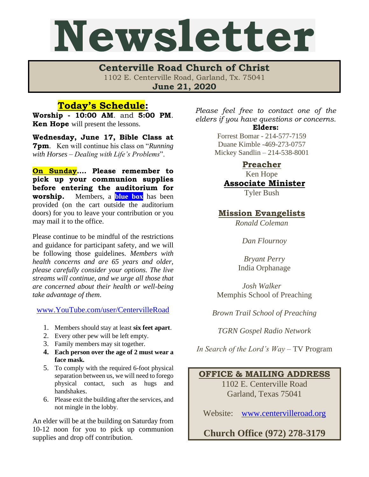## Newsletter

**Centerville Road Church of Christ**  1102 E. Centerville Road, Garland, Tx. 75041 **June 21, 2020**

## **Today's Schedule:**

**Worship - 10:00 AM**. and **5:00 PM**. **Ken Hope** will present the lessons.

**Wednesday, June 17, Bible Class at 7pm**. Ken will continue his class on "*Running with Horses – Dealing with Life's Problems*".

**On Sunday…. Please remember to pick up your communion supplies before entering the auditorium for worship.** Members, a **blue box** has been provided (on the cart outside the auditorium doors) for you to leave your contribution or you may mail it to the office.

Please continue to be mindful of the restrictions and guidance for participant safety, and we will be following those guidelines. *Members with health concerns and are 65 years and older, please carefully consider your options. The live streams will continue, and we urge all those that are concerned about their health or well-being take advantage of them*.

[www.YouTube.com/user/CentervilleRoad](http://www.youtube.com/user/CentervilleRoad)

- 1. Members should stay at least **six feet apart**.
- 2. Every other pew will be left empty.
- 3. Family members may sit together.
- **4. Each person over the age of 2 must wear a face mask.**
- 5. To comply with the required 6-foot physical separation between us, we will need to forego physical contact, such as hugs and handshakes.
- 6. Please exit the building after the services, and not mingle in the lobby.

An elder will be at the building on Saturday from 10-12 noon for you to pick up communion supplies and drop off contribution.

*Please feel free to contact one of the elders if you have questions or concerns.*  **Elders:**

Forrest Bomar - 214-577-7159 Duane Kimble -469-273-0757 Mickey Sandlin – 214-538-8001

> **Preacher** Ken Hope

**Associate Minister**

Tyler Bush

**Mission Evangelists**

*Ronald Coleman*

*Dan Flournoy*

*Bryant Perry* India Orphanage

*Josh Walker* Memphis School of Preaching

*Brown Trail School of Preaching*

*TGRN Gospel Radio Network*

*In Search of the Lord's Way* – TV Program

## **OFFICE & MAILING ADDRESS**

1102 E. Centerville Road Garland, Texas 75041

Website: [www.centervilleroad.org](http://www.centervilleroad.org/)

**Church Office (972) 278-3179**